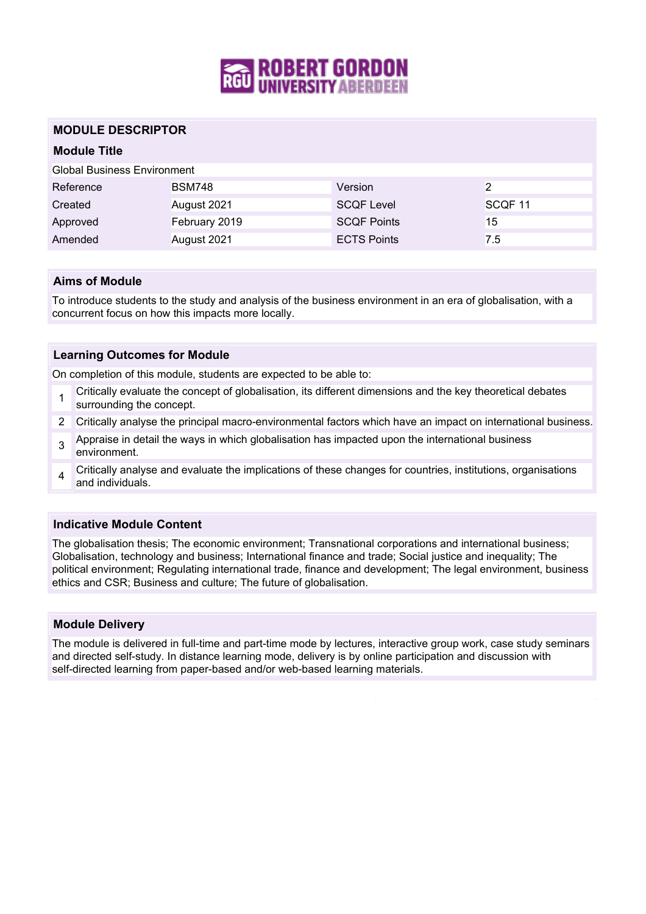

## **MODULE DESCRIPTOR**

## **Module Title**

Global Business Environment

| Reference | <b>BSM748</b> | Version            |                    |
|-----------|---------------|--------------------|--------------------|
| Created   | August 2021   | <b>SCQF Level</b>  | SCOF <sub>11</sub> |
| Approved  | February 2019 | <b>SCOF Points</b> | 15                 |
| Amended   | August 2021   | <b>ECTS Points</b> | 7.5                |

## **Aims of Module**

To introduce students to the study and analysis of the business environment in an era of globalisation, with a concurrent focus on how this impacts more locally.

## **Learning Outcomes for Module**

On completion of this module, students are expected to be able to:

- 1 Critically evaluate the concept of globalisation, its different dimensions and the key theoretical debates surrounding the concept.
- 2 Critically analyse the principal macro-environmental factors which have an impact on international business.
- 3 Appraise in detail the ways in which globalisation has impacted upon the international business environment.
- $\Delta$ Critically analyse and evaluate the implications of these changes for countries, institutions, organisations and individuals.

### **Indicative Module Content**

The globalisation thesis; The economic environment; Transnational corporations and international business; Globalisation, technology and business; International finance and trade; Social justice and inequality; The political environment; Regulating international trade, finance and development; The legal environment, business ethics and CSR; Business and culture; The future of globalisation.

### **Module Delivery**

The module is delivered in full-time and part-time mode by lectures, interactive group work, case study seminars and directed self-study. In distance learning mode, delivery is by online participation and discussion with self-directed learning from paper-based and/or web-based learning materials.